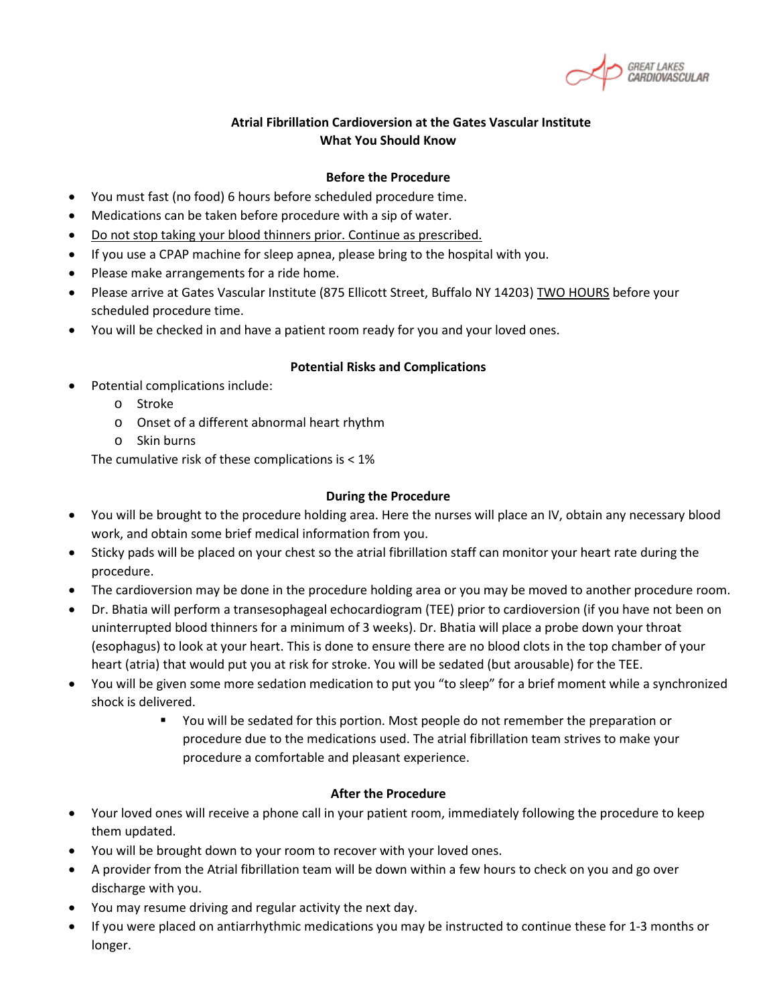#### **Atrial Fibrillation Cardioversion at the Gates Vascular Institute What You Should Know**

#### **Before the Procedure**

- You must fast (no food) 6 hours before scheduled procedure time.
- Medications can be taken before procedure with a sip of water.
- Do not stop taking your blood thinners prior. Continue as prescribed.
- If you use a CPAP machine for sleep apnea, please bring to the hospital with you.
- Please make arrangements for a ride home.
- Please arrive at Gates Vascular Institute (875 Ellicott Street, Buffalo NY 14203) TWO HOURS before your scheduled procedure time.
- You will be checked in and have a patient room ready for you and your loved ones.

#### **Potential Risks and Complications**

- Potential complications include:
	- o Stroke
	- o Onset of a different abnormal heart rhythm
	- o Skin burns

The cumulative risk of these complications is < 1%

#### **During the Procedure**

- You will be brought to the procedure holding area. Here the nurses will place an IV, obtain any necessary blood work, and obtain some brief medical information from you.
- Sticky pads will be placed on your chest so the atrial fibrillation staff can monitor your heart rate during the procedure.
- The cardioversion may be done in the procedure holding area or you may be moved to another procedure room.
- Dr. Bhatia will perform a transesophageal echocardiogram (TEE) prior to cardioversion (if you have not been on uninterrupted blood thinners for a minimum of 3 weeks). Dr. Bhatia will place a probe down your throat (esophagus) to look at your heart. This is done to ensure there are no blood clots in the top chamber of your heart (atria) that would put you at risk for stroke. You will be sedated (but arousable) for the TEE.
- You will be given some more sedation medication to put you "to sleep" for a brief moment while a synchronized shock is delivered.
	- You will be sedated for this portion. Most people do not remember the preparation or procedure due to the medications used. The atrial fibrillation team strives to make your procedure a comfortable and pleasant experience.

#### **After the Procedure**

- Your loved ones will receive a phone call in your patient room, immediately following the procedure to keep them updated.
- You will be brought down to your room to recover with your loved ones.
- A provider from the Atrial fibrillation team will be down within a few hours to check on you and go over discharge with you.
- You may resume driving and regular activity the next day.
- If you were placed on antiarrhythmic medications you may be instructed to continue these for 1-3 months or longer.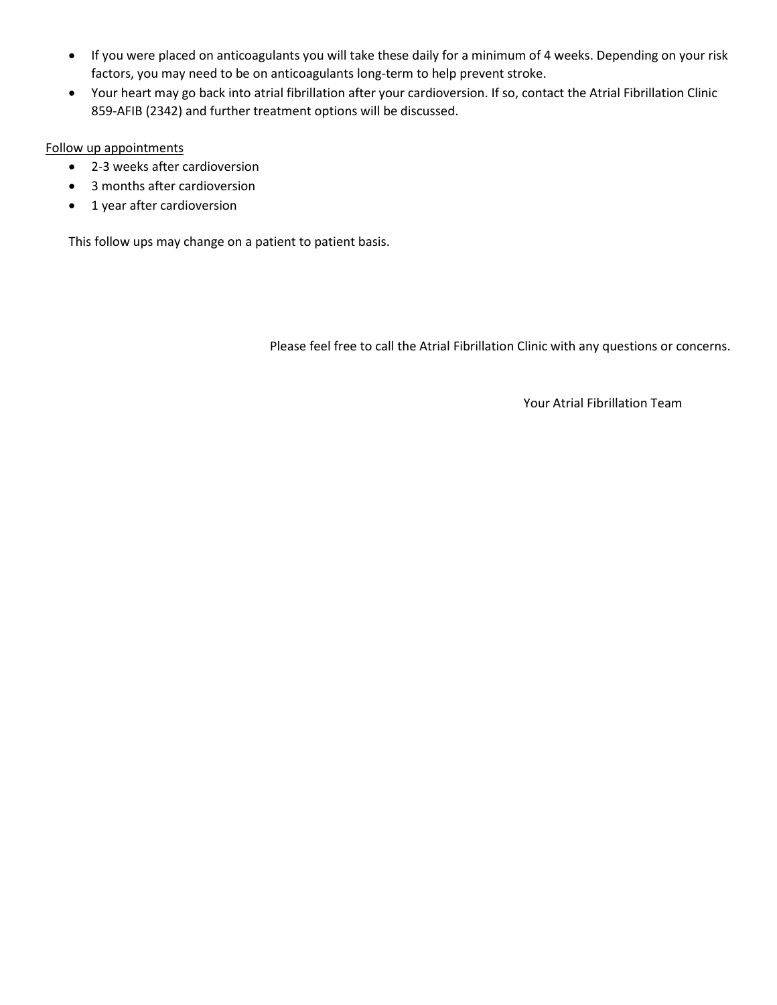- If you were placed on anticoagulants you will take these daily for a minimum of 4 weeks. Depending on your risk factors, you may need to be on anticoagulants long-term to help prevent stroke.
- Your heart may go back into atrial fibrillation after your cardioversion. If so, contact the Atrial Fibrillation Clinic 859-AFIB (2342) and further treatment options will be discussed.

#### Follow up appointments

- 2-3 weeks after cardioversion
- 3 months after cardioversion
- 1 year after cardioversion

This follow ups may change on a patient to patient basis.

Please feel free to call the Atrial Fibrillation Clinic with any questions or concerns.

Your Atrial Fibrillation Team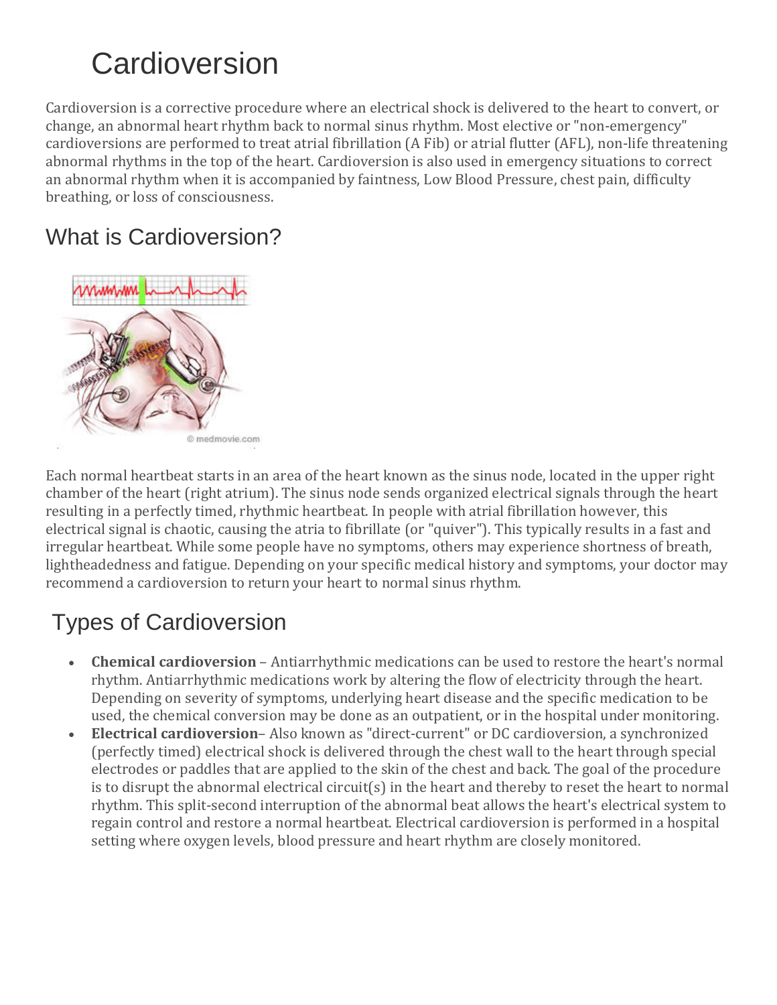# **Cardioversion**

Cardioversion is a corrective procedure where an electrical shock is delivered to the heart to convert, or change, an abnormal heart rhythm back to normal sinus rhythm. Most elective or "non-emergency" cardioversions are performed to treat atrial fibrillation (A Fib) or atrial flutter (AFL), non-life threatening abnormal rhythms in the top of the heart. Cardioversion is also used in emergency situations to correct an abnormal rhythm when it is accompanied by faintness, Low Blood Pressure, chest pain, difficulty breathing, or loss of consciousness.

### What is Cardioversion?



Each normal heartbeat starts in an area of the heart known as the sinus node, located in the upper right chamber of the heart (right atrium). The sinus node sends organized electrical signals through the heart resulting in a perfectly timed, rhythmic heartbeat. In people with atrial fibrillation however, this electrical signal is chaotic, causing the atria to fibrillate (or "quiver"). This typically results in a fast and irregular heartbeat. While some people have no symptoms, others may experience shortness of breath, lightheadedness and fatigue. Depending on your specific medical history and symptoms, your doctor may recommend a cardioversion to return your heart to normal sinus rhythm.

# Types of Cardioversion

- **Chemical cardioversion** Antiarrhythmic medications can be used to restore the heart's normal rhythm. Antiarrhythmic medications work by altering the flow of electricity through the heart. Depending on severity of symptoms, underlying heart disease and the specific medication to be used, the chemical conversion may be done as an outpatient, or in the hospital under monitoring.
- **Electrical cardioversion** Also known as "direct-current" or DC cardioversion, a synchronized (perfectly timed) electrical shock is delivered through the chest wall to the heart through special electrodes or paddles that are applied to the skin of the chest and back. The goal of the procedure is to disrupt the abnormal electrical circuit(s) in the heart and thereby to reset the heart to normal rhythm. This split-second interruption of the abnormal beat allows the heart's electrical system to regain control and restore a normal heartbeat. Electrical cardioversion is performed in a hospital setting where oxygen levels, blood pressure and heart rhythm are closely monitored.